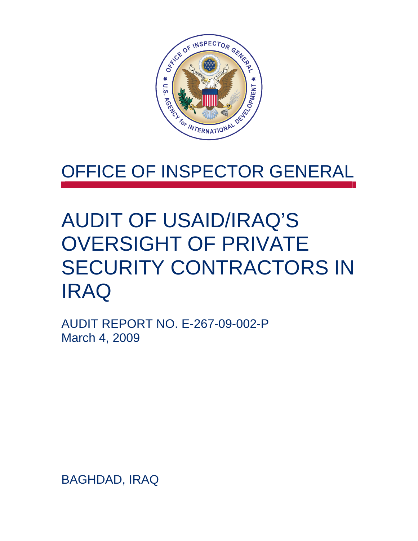

## OFFICE OF INSPECTOR GENERAL

# AUDIT OF USAID/IRAQ'S OVERSIGHT OF PRIVATE SECURITY CONTRACTORS IN IRAQ

AUDIT REPORT NO. E-267-09-002-P March 4, 2009

BAGHDAD, IRAQ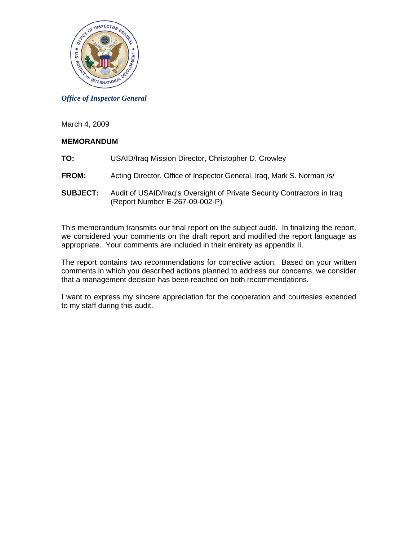

*Office of Inspector General*

March 4, 2009

## **MEMORANDUM**

- **TO:** USAID/Iraq Mission Director, Christopher D. Crowley
- **FROM:** Acting Director, Office of Inspector General, Iraq, Mark S. Norman /s/
- **SUBJECT:** Audit of USAID/Iraq's Oversight of Private Security Contractors in Iraq (Report Number E-267-09-002-P)

This memorandum transmits our final report on the subject audit. In finalizing the report, we considered your comments on the draft report and modified the report language as appropriate. Your comments are included in their entirety as appendix II.

The report contains two recommendations for corrective action. Based on your written comments in which you described actions planned to address our concerns, we consider that a management decision has been reached on both recommendations.

I want to express my sincere appreciation for the cooperation and courtesies extended to my staff during this audit.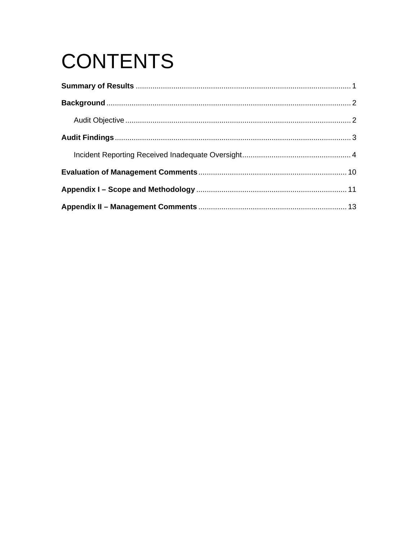# **CONTENTS**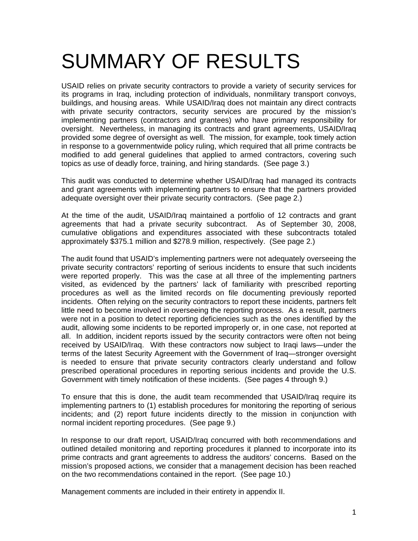# SUMMARY OF RESULTS

USAID relies on private security contractors to provide a variety of security services for its programs in Iraq, including protection of individuals, nonmilitary transport convoys, buildings, and housing areas. While USAID/Iraq does not maintain any direct contracts with private security contractors, security services are procured by the mission's implementing partners (contractors and grantees) who have primary responsibility for oversight. Nevertheless, in managing its contracts and grant agreements, USAID/Iraq provided some degree of oversight as well. The mission, for example, took timely action in response to a governmentwide policy ruling, which required that all prime contracts be modified to add general guidelines that applied to armed contractors, covering such topics as use of deadly force, training, and hiring standards. (See page 3.)

This audit was conducted to determine whether USAID/Iraq had managed its contracts and grant agreements with implementing partners to ensure that the partners provided adequate oversight over their private security contractors. (See page 2.)

At the time of the audit, USAID/Iraq maintained a portfolio of 12 contracts and grant agreements that had a private security subcontract. As of September 30, 2008, cumulative obligations and expenditures associated with these subcontracts totaled approximately \$375.1 million and \$278.9 million, respectively. (See page 2.)

The audit found that USAID's implementing partners were not adequately overseeing the private security contractors' reporting of serious incidents to ensure that such incidents were reported properly. This was the case at all three of the implementing partners visited, as evidenced by the partners' lack of familiarity with prescribed reporting procedures as well as the limited records on file documenting previously reported incidents. Often relying on the security contractors to report these incidents, partners felt little need to become involved in overseeing the reporting process. As a result, partners were not in a position to detect reporting deficiencies such as the ones identified by the audit, allowing some incidents to be reported improperly or, in one case, not reported at all. In addition, incident reports issued by the security contractors were often not being received by USAID/Iraq. With these contractors now subject to Iraqi laws—under the terms of the latest Security Agreement with the Government of Iraq—stronger oversight is needed to ensure that private security contractors clearly understand and follow prescribed operational procedures in reporting serious incidents and provide the U.S. Government with timely notification of these incidents. (See pages 4 through 9.)

To ensure that this is done, the audit team recommended that USAID/Iraq require its implementing partners to (1) establish procedures for monitoring the reporting of serious incidents; and (2) report future incidents directly to the mission in conjunction with normal incident reporting procedures. (See page 9.)

In response to our draft report, USAID/Iraq concurred with both recommendations and outlined detailed monitoring and reporting procedures it planned to incorporate into its prime contracts and grant agreements to address the auditors' concerns. Based on the mission's proposed actions, we consider that a management decision has been reached on the two recommendations contained in the report. (See page 10.)

Management comments are included in their entirety in appendix II.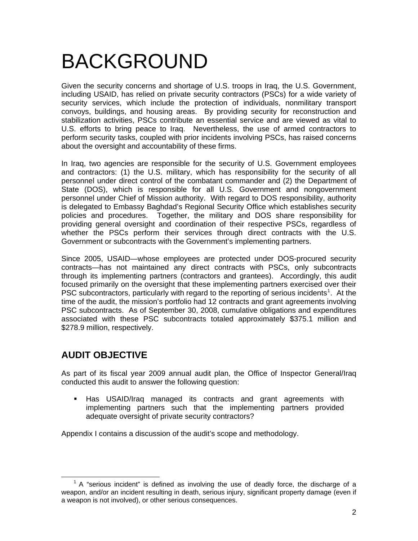# BACKGROUND

Given the security concerns and shortage of U.S. troops in Iraq, the U.S. Government, including USAID, has relied on private security contractors (PSCs) for a wide variety of security services, which include the protection of individuals, nonmilitary transport convoys, buildings, and housing areas. By providing security for reconstruction and stabilization activities, PSCs contribute an essential service and are viewed as vital to U.S. efforts to bring peace to Iraq. Nevertheless, the use of armed contractors to perform security tasks, coupled with prior incidents involving PSCs, has raised concerns about the oversight and accountability of these firms.

In Iraq, two agencies are responsible for the security of U.S. Government employees and contractors: (1) the U.S. military, which has responsibility for the security of all personnel under direct control of the combatant commander and (2) the Department of State (DOS), which is responsible for all U.S. Government and nongovernment personnel under Chief of Mission authority. With regard to DOS responsibility, authority is delegated to Embassy Baghdad's Regional Security Office which establishes security policies and procedures. Together, the military and DOS share responsibility for providing general oversight and coordination of their respective PSCs, regardless of whether the PSCs perform their services through direct contracts with the U.S. Government or subcontracts with the Government's implementing partners.

Since 2005, USAID—whose employees are protected under DOS-procured security contracts—has not maintained any direct contracts with PSCs, only subcontracts through its implementing partners (contractors and grantees). Accordingly, this audit focused primarily on the oversight that these implementing partners exercised over their PSC subcontractors, particularly with regard to the reporting of serious incidents<sup>[1](#page-4-0)</sup>. At the time of the audit, the mission's portfolio had 12 contracts and grant agreements involving PSC subcontracts. As of September 30, 2008, cumulative obligations and expenditures associated with these PSC subcontracts totaled approximately \$375.1 million and \$278.9 million, respectively.

## **AUDIT OBJECTIVE**

As part of its fiscal year 2009 annual audit plan, the Office of Inspector General/Iraq conducted this audit to answer the following question:

 Has USAID/Iraq managed its contracts and grant agreements with implementing partners such that the implementing partners provided adequate oversight of private security contractors?

Appendix I contains a discussion of the audit's scope and methodology.

<span id="page-4-0"></span> $1$  A "serious incident" is defined as involving the use of deadly force, the discharge of a weapon, and/or an incident resulting in death, serious injury, significant property damage (even if a weapon is not involved), or other serious consequences.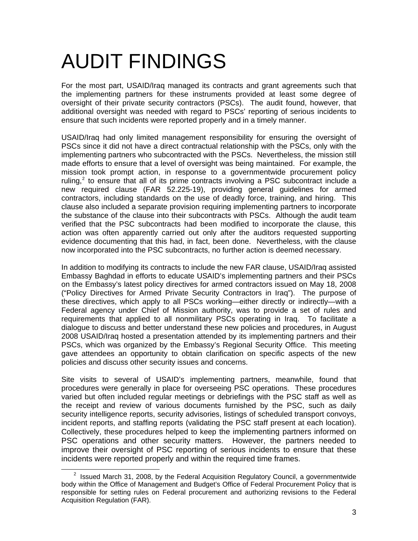# AUDIT FINDINGS

For the most part, USAID/Iraq managed its contracts and grant agreements such that the implementing partners for these instruments provided at least some degree of oversight of their private security contractors (PSCs). The audit found, however, that additional oversight was needed with regard to PSCs' reporting of serious incidents to ensure that such incidents were reported properly and in a timely manner.

USAID/Iraq had only limited management responsibility for ensuring the oversight of PSCs since it did not have a direct contractual relationship with the PSCs, only with the implementing partners who subcontracted with the PSCs. Nevertheless, the mission still made efforts to ensure that a level of oversight was being maintained. For example, the mission took prompt action, in response to a governmentwide procurement policy ruling, $2$  to ensure that all of its prime contracts involving a PSC subcontract include a new required clause (FAR 52.225-19), providing general guidelines for armed contractors, including standards on the use of deadly force, training, and hiring. This clause also included a separate provision requiring implementing partners to incorporate the substance of the clause into their subcontracts with PSCs. Although the audit team verified that the PSC subcontracts had been modified to incorporate the clause, this action was often apparently carried out only after the auditors requested supporting evidence documenting that this had, in fact, been done. Nevertheless, with the clause now incorporated into the PSC subcontracts, no further action is deemed necessary.

In addition to modifying its contracts to include the new FAR clause, USAID/Iraq assisted Embassy Baghdad in efforts to educate USAID's implementing partners and their PSCs on the Embassy's latest policy directives for armed contractors issued on May 18, 2008 ("Policy Directives for Armed Private Security Contractors in Iraq"). The purpose of these directives, which apply to all PSCs working—either directly or indirectly—with a Federal agency under Chief of Mission authority, was to provide a set of rules and requirements that applied to all nonmilitary PSCs operating in Iraq. To facilitate a dialogue to discuss and better understand these new policies and procedures, in August 2008 USAID/Iraq hosted a presentation attended by its implementing partners and their PSCs, which was organized by the Embassy's Regional Security Office. This meeting gave attendees an opportunity to obtain clarification on specific aspects of the new policies and discuss other security issues and concerns.

Site visits to several of USAID's implementing partners, meanwhile, found that procedures were generally in place for overseeing PSC operations. These procedures varied but often included regular meetings or debriefings with the PSC staff as well as the receipt and review of various documents furnished by the PSC, such as daily security intelligence reports, security advisories, listings of scheduled transport convoys, incident reports, and staffing reports (validating the PSC staff present at each location). Collectively, these procedures helped to keep the implementing partners informed on PSC operations and other security matters. However, the partners needed to improve their oversight of PSC reporting of serious incidents to ensure that these incidents were reported properly and within the required time frames.

<span id="page-5-0"></span> $2$  Issued March 31, 2008, by the Federal Acquisition Regulatory Council, a governmentwide body within the Office of Management and Budget's Office of Federal Procurement Policy that is responsible for setting rules on Federal procurement and authorizing revisions to the Federal Acquisition Regulation (FAR).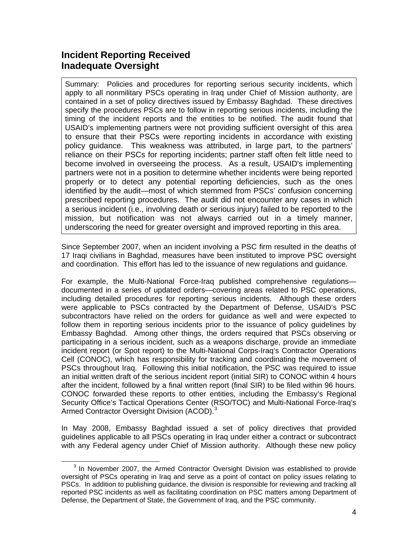## **Incident Reporting Received Inadequate Oversight**

Summary: Policies and procedures for reporting serious security incidents, which apply to all nonmilitary PSCs operating in Iraq under Chief of Mission authority, are contained in a set of policy directives issued by Embassy Baghdad. These directives specify the procedures PSCs are to follow in reporting serious incidents, including the timing of the incident reports and the entities to be notified. The audit found that USAID's implementing partners were not providing sufficient oversight of this area to ensure that their PSCs were reporting incidents in accordance with existing policy guidance. This weakness was attributed, in large part, to the partners' reliance on their PSCs for reporting incidents; partner staff often felt little need to become involved in overseeing the process. As a result, USAID's implementing partners were not in a position to determine whether incidents were being reported properly or to detect any potential reporting deficiencies, such as the ones identified by the audit—most of which stemmed from PSCs' confusion concerning prescribed reporting procedures. The audit did not encounter any cases in which a serious incident (i.e., involving death or serious injury) failed to be reported to the mission, but notification was not always carried out in a timely manner, underscoring the need for greater oversight and improved reporting in this area.

Since September 2007, when an incident involving a PSC firm resulted in the deaths of 17 Iraqi civilians in Baghdad, measures have been instituted to improve PSC oversight and coordination. This effort has led to the issuance of new regulations and guidance.

For example, the Multi-National Force-Iraq published comprehensive regulations documented in a series of updated orders—covering areas related to PSC operations, including detailed procedures for reporting serious incidents. Although these orders were applicable to PSCs contracted by the Department of Defense, USAID's PSC subcontractors have relied on the orders for guidance as well and were expected to follow them in reporting serious incidents prior to the issuance of policy guidelines by Embassy Baghdad. Among other things, the orders required that PSCs observing or participating in a serious incident, such as a weapons discharge, provide an immediate incident report (or Spot report) to the Multi-National Corps-Iraq's Contractor Operations Cell (CONOC), which has responsibility for tracking and coordinating the movement of PSCs throughout Iraq. Following this initial notification, the PSC was required to issue an initial written draft of the serious incident report (initial SIR) to CONOC within 4 hours after the incident, followed by a final written report (final SIR) to be filed within 96 hours. CONOC forwarded these reports to other entities, including the Embassy's Regional Security Office's Tactical Operations Center (RSO/TOC) and Multi-National Force-Iraq's Armed Contractor Oversight Division (ACOD).<sup>[3](#page-6-0)</sup>

In May 2008, Embassy Baghdad issued a set of policy directives that provided guidelines applicable to all PSCs operating in Iraq under either a contract or subcontract with any Federal agency under Chief of Mission authority. Although these new policy

<span id="page-6-0"></span><sup>&</sup>lt;sup>3</sup> In November 2007, the Armed Contractor Oversight Division was established to provide oversight of PSCs operating in Iraq and serve as a point of contact on policy issues relating to PSCs. In addition to publishing guidance, the division is responsible for reviewing and tracking all reported PSC incidents as well as facilitating coordination on PSC matters among Department of Defense, the Department of State, the Government of Iraq, and the PSC community.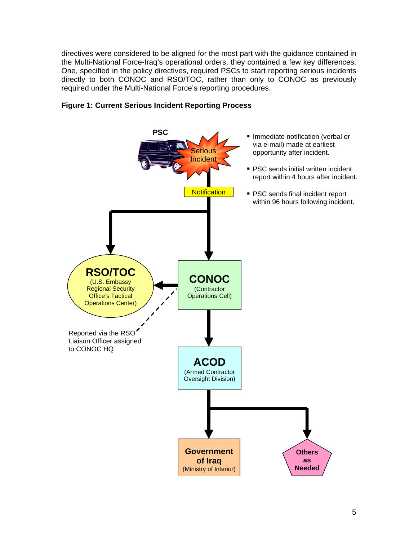directives were considered to be aligned for the most part with the guidance contained in the Multi-National Force-Iraq's operational orders, they contained a few key differences. One, specified in the policy directives, required PSCs to start reporting serious incidents directly to both CONOC and RSO/TOC, rather than only to CONOC as previously required under the Multi-National Force's reporting procedures.



## **Figure 1: Current Serious Incident Reporting Process**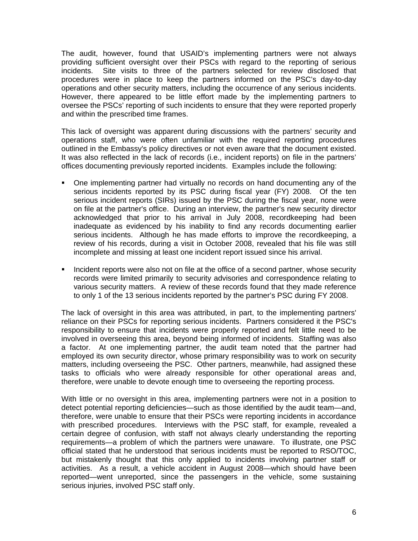The audit, however, found that USAID's implementing partners were not always providing sufficient oversight over their PSCs with regard to the reporting of serious incidents. Site visits to three of the partners selected for review disclosed that procedures were in place to keep the partners informed on the PSC's day-to-day operations and other security matters, including the occurrence of any serious incidents. However, there appeared to be little effort made by the implementing partners to oversee the PSCs' reporting of such incidents to ensure that they were reported properly and within the prescribed time frames.

This lack of oversight was apparent during discussions with the partners' security and operations staff, who were often unfamiliar with the required reporting procedures outlined in the Embassy's policy directives or not even aware that the document existed. It was also reflected in the lack of records (i.e., incident reports) on file in the partners' offices documenting previously reported incidents. Examples include the following:

- One implementing partner had virtually no records on hand documenting any of the serious incidents reported by its PSC during fiscal year (FY) 2008. Of the ten serious incident reports (SIRs) issued by the PSC during the fiscal year, none were on file at the partner's office. During an interview, the partner's new security director acknowledged that prior to his arrival in July 2008, recordkeeping had been inadequate as evidenced by his inability to find any records documenting earlier serious incidents. Although he has made efforts to improve the recordkeeping, a review of his records, during a visit in October 2008, revealed that his file was still incomplete and missing at least one incident report issued since his arrival.
- Incident reports were also not on file at the office of a second partner, whose security records were limited primarily to security advisories and correspondence relating to various security matters. A review of these records found that they made reference to only 1 of the 13 serious incidents reported by the partner's PSC during FY 2008.

The lack of oversight in this area was attributed, in part, to the implementing partners' reliance on their PSCs for reporting serious incidents. Partners considered it the PSC's responsibility to ensure that incidents were properly reported and felt little need to be involved in overseeing this area, beyond being informed of incidents. Staffing was also a factor. At one implementing partner, the audit team noted that the partner had employed its own security director, whose primary responsibility was to work on security matters, including overseeing the PSC. Other partners, meanwhile, had assigned these tasks to officials who were already responsible for other operational areas and, therefore, were unable to devote enough time to overseeing the reporting process.

With little or no oversight in this area, implementing partners were not in a position to detect potential reporting deficiencies—such as those identified by the audit team—and, therefore, were unable to ensure that their PSCs were reporting incidents in accordance with prescribed procedures. Interviews with the PSC staff, for example, revealed a certain degree of confusion, with staff not always clearly understanding the reporting requirements—a problem of which the partners were unaware. To illustrate, one PSC official stated that he understood that serious incidents must be reported to RSO/TOC, but mistakenly thought that this only applied to incidents involving partner staff or activities. As a result, a vehicle accident in August 2008—which should have been reported—went unreported, since the passengers in the vehicle, some sustaining serious injuries, involved PSC staff only.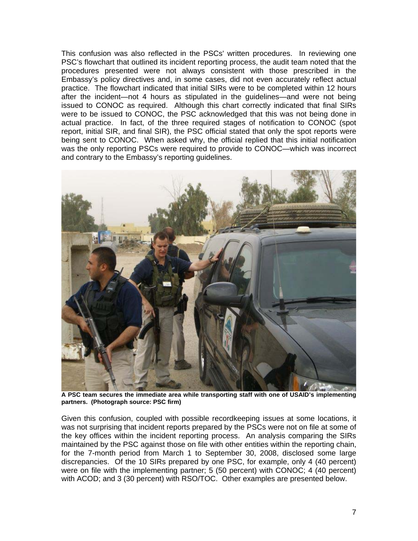This confusion was also reflected in the PSCs' written procedures. In reviewing one PSC's flowchart that outlined its incident reporting process, the audit team noted that the procedures presented were not always consistent with those prescribed in the Embassy's policy directives and, in some cases, did not even accurately reflect actual practice. The flowchart indicated that initial SIRs were to be completed within 12 hours after the incident—not 4 hours as stipulated in the guidelines—and were not being issued to CONOC as required. Although this chart correctly indicated that final SIRs were to be issued to CONOC, the PSC acknowledged that this was not being done in actual practice. In fact, of the three required stages of notification to CONOC (spot report, initial SIR, and final SIR), the PSC official stated that only the spot reports were being sent to CONOC. When asked why, the official replied that this initial notification was the only reporting PSCs were required to provide to CONOC—which was incorrect and contrary to the Embassy's reporting guidelines.



**A PSC team secures the immediate area while transporting staff with one of USAID's implementing partners. (Photograph source: PSC firm)** 

Given this confusion, coupled with possible recordkeeping issues at some locations, it was not surprising that incident reports prepared by the PSCs were not on file at some of the key offices within the incident reporting process. An analysis comparing the SIRs maintained by the PSC against those on file with other entities within the reporting chain, for the 7-month period from March 1 to September 30, 2008, disclosed some large discrepancies. Of the 10 SIRs prepared by one PSC, for example, only 4 (40 percent) were on file with the implementing partner; 5 (50 percent) with CONOC; 4 (40 percent) with ACOD; and 3 (30 percent) with RSO/TOC. Other examples are presented below.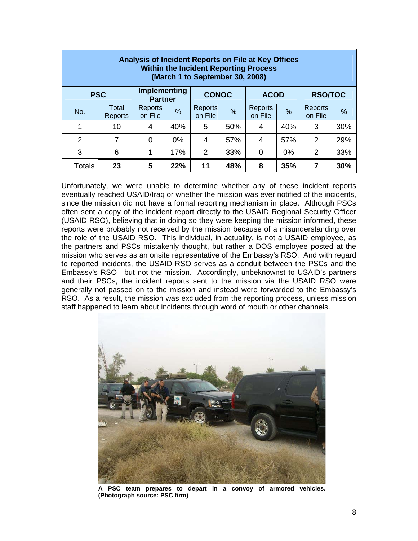| Analysis of Incident Reports on File at Key Offices<br><b>Within the Incident Reporting Process</b><br>(March 1 to September 30, 2008) |                  |                                       |       |                    |     |                    |       |                    |     |  |  |
|----------------------------------------------------------------------------------------------------------------------------------------|------------------|---------------------------------------|-------|--------------------|-----|--------------------|-------|--------------------|-----|--|--|
| <b>PSC</b>                                                                                                                             |                  | <b>Implementing</b><br><b>Partner</b> |       | <b>CONOC</b>       |     | <b>ACOD</b>        |       | <b>RSO/TOC</b>     |     |  |  |
| No.                                                                                                                                    | Total<br>Reports | Reports<br>on File                    | %     | Reports<br>on File | %   | Reports<br>on File | %     | Reports<br>on File | %   |  |  |
| 1                                                                                                                                      | 10               | 4                                     | 40%   | 5                  | 50% | 4                  | 40%   | 3                  | 30% |  |  |
| 2                                                                                                                                      | 7                | 0                                     | $0\%$ | 4                  | 57% | 4                  | 57%   | 2                  | 29% |  |  |
| 3                                                                                                                                      | 6                | 1                                     | 17%   | 2                  | 33% | $\mathbf 0$        | $0\%$ | 2                  | 33% |  |  |
| <b>Totals</b>                                                                                                                          | 23               | 5                                     | 22%   | 11                 | 48% | 8                  | 35%   | 7                  | 30% |  |  |

Unfortunately, we were unable to determine whether any of these incident reports eventually reached USAID/Iraq or whether the mission was ever notified of the incidents, since the mission did not have a formal reporting mechanism in place. Although PSCs often sent a copy of the incident report directly to the USAID Regional Security Officer (USAID RSO), believing that in doing so they were keeping the mission informed, these reports were probably not received by the mission because of a misunderstanding over the role of the USAID RSO. This individual, in actuality, is not a USAID employee, as the partners and PSCs mistakenly thought, but rather a DOS employee posted at the mission who serves as an onsite representative of the Embassy's RSO. And with regard to reported incidents, the USAID RSO serves as a conduit between the PSCs and the Embassy's RSO—but not the mission. Accordingly, unbeknownst to USAID's partners and their PSCs, the incident reports sent to the mission via the USAID RSO were generally not passed on to the mission and instead were forwarded to the Embassy's RSO. As a result, the mission was excluded from the reporting process, unless mission staff happened to learn about incidents through word of mouth or other channels.



**A PSC team prepares to depart in a convoy of armored vehicles. (Photograph source: PSC firm)**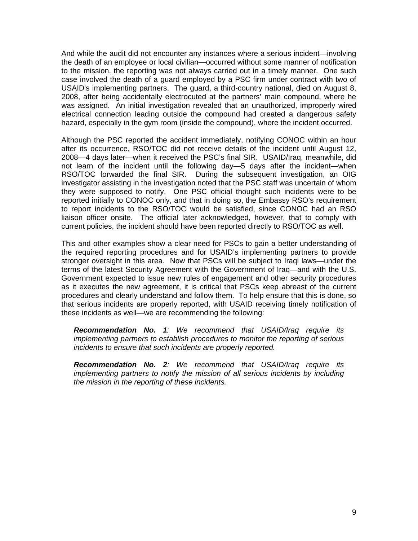And while the audit did not encounter any instances where a serious incident—involving the death of an employee or local civilian—occurred without some manner of notification to the mission, the reporting was not always carried out in a timely manner. One such case involved the death of a guard employed by a PSC firm under contract with two of USAID's implementing partners. The guard, a third-country national, died on August 8, 2008, after being accidentally electrocuted at the partners' main compound, where he was assigned. An initial investigation revealed that an unauthorized, improperly wired electrical connection leading outside the compound had created a dangerous safety hazard, especially in the gym room (inside the compound), where the incident occurred.

Although the PSC reported the accident immediately, notifying CONOC within an hour after its occurrence, RSO/TOC did not receive details of the incident until August 12, 2008—4 days later—when it received the PSC's final SIR. USAID/Iraq, meanwhile, did not learn of the incident until the following day—5 days after the incident—when RSO/TOC forwarded the final SIR. During the subsequent investigation, an OIG investigator assisting in the investigation noted that the PSC staff was uncertain of whom they were supposed to notify. One PSC official thought such incidents were to be reported initially to CONOC only, and that in doing so, the Embassy RSO's requirement to report incidents to the RSO/TOC would be satisfied, since CONOC had an RSO liaison officer onsite. The official later acknowledged, however, that to comply with current policies, the incident should have been reported directly to RSO/TOC as well.

This and other examples show a clear need for PSCs to gain a better understanding of the required reporting procedures and for USAID's implementing partners to provide stronger oversight in this area. Now that PSCs will be subject to Iraqi laws—under the terms of the latest Security Agreement with the Government of Iraq—and with the U.S. Government expected to issue new rules of engagement and other security procedures as it executes the new agreement, it is critical that PSCs keep abreast of the current procedures and clearly understand and follow them. To help ensure that this is done, so that serious incidents are properly reported, with USAID receiving timely notification of these incidents as well—we are recommending the following:

*Recommendation No. 1: We recommend that USAID/Iraq require its implementing partners to establish procedures to monitor the reporting of serious incidents to ensure that such incidents are properly reported.* 

*Recommendation No. 2: We recommend that USAID/Iraq require its implementing partners to notify the mission of all serious incidents by including the mission in the reporting of these incidents.*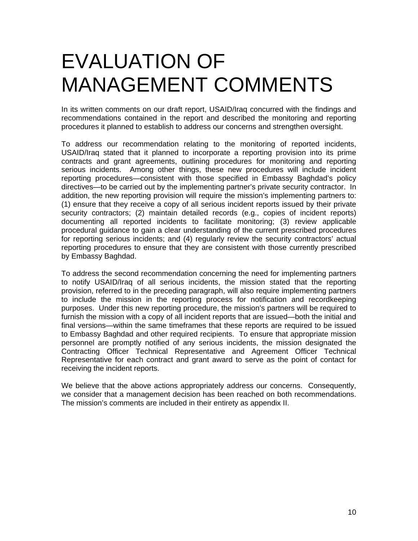# EVALUATION OF MANAGEMENT COMMENTS

In its written comments on our draft report, USAID/Iraq concurred with the findings and recommendations contained in the report and described the monitoring and reporting procedures it planned to establish to address our concerns and strengthen oversight.

To address our recommendation relating to the monitoring of reported incidents, USAID/Iraq stated that it planned to incorporate a reporting provision into its prime contracts and grant agreements, outlining procedures for monitoring and reporting serious incidents. Among other things, these new procedures will include incident reporting procedures—consistent with those specified in Embassy Baghdad's policy directives—to be carried out by the implementing partner's private security contractor. In addition, the new reporting provision will require the mission's implementing partners to: (1) ensure that they receive a copy of all serious incident reports issued by their private security contractors; (2) maintain detailed records (e.g., copies of incident reports) documenting all reported incidents to facilitate monitoring; (3) review applicable procedural guidance to gain a clear understanding of the current prescribed procedures for reporting serious incidents; and (4) regularly review the security contractors' actual reporting procedures to ensure that they are consistent with those currently prescribed by Embassy Baghdad.

To address the second recommendation concerning the need for implementing partners to notify USAID/Iraq of all serious incidents, the mission stated that the reporting provision, referred to in the preceding paragraph, will also require implementing partners to include the mission in the reporting process for notification and recordkeeping purposes. Under this new reporting procedure, the mission's partners will be required to furnish the mission with a copy of all incident reports that are issued—both the initial and final versions—within the same timeframes that these reports are required to be issued to Embassy Baghdad and other required recipients. To ensure that appropriate mission personnel are promptly notified of any serious incidents, the mission designated the Contracting Officer Technical Representative and Agreement Officer Technical Representative for each contract and grant award to serve as the point of contact for receiving the incident reports.

We believe that the above actions appropriately address our concerns. Consequently, we consider that a management decision has been reached on both recommendations. The mission's comments are included in their entirety as appendix II.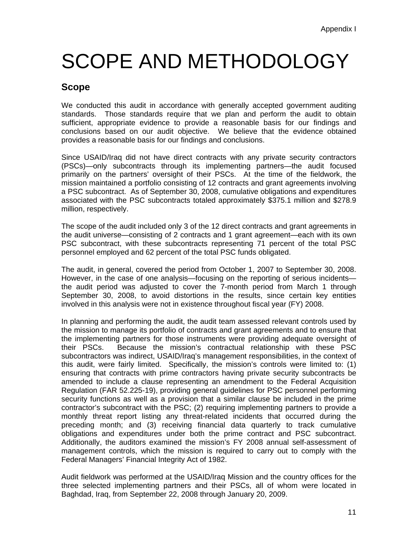# SCOPE AND METHODOLOGY

## **Scope**

We conducted this audit in accordance with generally accepted government auditing standards. Those standards require that we plan and perform the audit to obtain sufficient, appropriate evidence to provide a reasonable basis for our findings and conclusions based on our audit objective. We believe that the evidence obtained provides a reasonable basis for our findings and conclusions.

Since USAID/Iraq did not have direct contracts with any private security contractors (PSCs)—only subcontracts through its implementing partners—the audit focused primarily on the partners' oversight of their PSCs. At the time of the fieldwork, the mission maintained a portfolio consisting of 12 contracts and grant agreements involving a PSC subcontract. As of September 30, 2008, cumulative obligations and expenditures associated with the PSC subcontracts totaled approximately \$375.1 million and \$278.9 million, respectively.

The scope of the audit included only 3 of the 12 direct contracts and grant agreements in the audit universe—consisting of 2 contracts and 1 grant agreement—each with its own PSC subcontract, with these subcontracts representing 71 percent of the total PSC personnel employed and 62 percent of the total PSC funds obligated.

The audit, in general, covered the period from October 1, 2007 to September 30, 2008. However, in the case of one analysis—focusing on the reporting of serious incidents the audit period was adjusted to cover the 7-month period from March 1 through September 30, 2008, to avoid distortions in the results, since certain key entities involved in this analysis were not in existence throughout fiscal year (FY) 2008.

In planning and performing the audit, the audit team assessed relevant controls used by the mission to manage its portfolio of contracts and grant agreements and to ensure that the implementing partners for those instruments were providing adequate oversight of their PSCs. Because the mission's contractual relationship with these PSC subcontractors was indirect, USAID/Iraq's management responsibilities, in the context of this audit, were fairly limited. Specifically, the mission's controls were limited to: (1) ensuring that contracts with prime contractors having private security subcontracts be amended to include a clause representing an amendment to the Federal Acquisition Regulation (FAR 52.225-19), providing general guidelines for PSC personnel performing security functions as well as a provision that a similar clause be included in the prime contractor's subcontract with the PSC; (2) requiring implementing partners to provide a monthly threat report listing any threat-related incidents that occurred during the preceding month; and (3) receiving financial data quarterly to track cumulative obligations and expenditures under both the prime contract and PSC subcontract. Additionally, the auditors examined the mission's FY 2008 annual self-assessment of management controls, which the mission is required to carry out to comply with the Federal Managers' Financial Integrity Act of 1982.

Audit fieldwork was performed at the USAID/Iraq Mission and the country offices for the three selected implementing partners and their PSCs, all of whom were located in Baghdad, Iraq, from September 22, 2008 through January 20, 2009.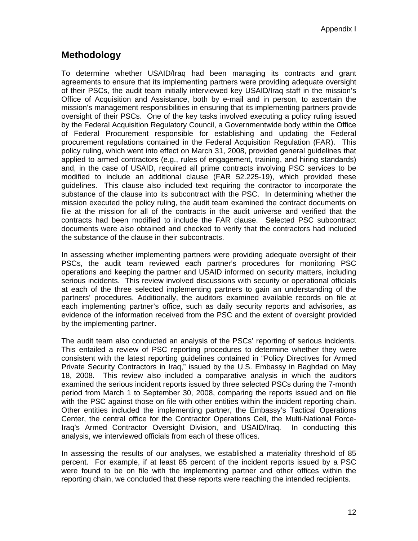## **Methodology**

To determine whether USAID/Iraq had been managing its contracts and grant agreements to ensure that its implementing partners were providing adequate oversight of their PSCs, the audit team initially interviewed key USAID/Iraq staff in the mission's Office of Acquisition and Assistance, both by e-mail and in person, to ascertain the mission's management responsibilities in ensuring that its implementing partners provide oversight of their PSCs. One of the key tasks involved executing a policy ruling issued by the Federal Acquisition Regulatory Council, a Governmentwide body within the Office of Federal Procurement responsible for establishing and updating the Federal procurement regulations contained in the Federal Acquisition Regulation (FAR). This policy ruling, which went into effect on March 31, 2008, provided general guidelines that applied to armed contractors (e.g., rules of engagement, training, and hiring standards) and, in the case of USAID, required all prime contracts involving PSC services to be modified to include an additional clause (FAR 52.225-19), which provided these guidelines. This clause also included text requiring the contractor to incorporate the substance of the clause into its subcontract with the PSC. In determining whether the mission executed the policy ruling, the audit team examined the contract documents on file at the mission for all of the contracts in the audit universe and verified that the contracts had been modified to include the FAR clause. Selected PSC subcontract documents were also obtained and checked to verify that the contractors had included the substance of the clause in their subcontracts.

In assessing whether implementing partners were providing adequate oversight of their PSCs, the audit team reviewed each partner's procedures for monitoring PSC operations and keeping the partner and USAID informed on security matters, including serious incidents. This review involved discussions with security or operational officials at each of the three selected implementing partners to gain an understanding of the partners' procedures. Additionally, the auditors examined available records on file at each implementing partner's office, such as daily security reports and advisories, as evidence of the information received from the PSC and the extent of oversight provided by the implementing partner.

The audit team also conducted an analysis of the PSCs' reporting of serious incidents. This entailed a review of PSC reporting procedures to determine whether they were consistent with the latest reporting guidelines contained in "Policy Directives for Armed Private Security Contractors in Iraq," issued by the U.S. Embassy in Baghdad on May 18, 2008. This review also included a comparative analysis in which the auditors examined the serious incident reports issued by three selected PSCs during the 7-month period from March 1 to September 30, 2008, comparing the reports issued and on file with the PSC against those on file with other entities within the incident reporting chain. Other entities included the implementing partner, the Embassy's Tactical Operations Center, the central office for the Contractor Operations Cell, the Multi-National Force-Iraq's Armed Contractor Oversight Division, and USAID/Iraq. In conducting this analysis, we interviewed officials from each of these offices.

In assessing the results of our analyses, we established a materiality threshold of 85 percent. For example, if at least 85 percent of the incident reports issued by a PSC were found to be on file with the implementing partner and other offices within the reporting chain, we concluded that these reports were reaching the intended recipients.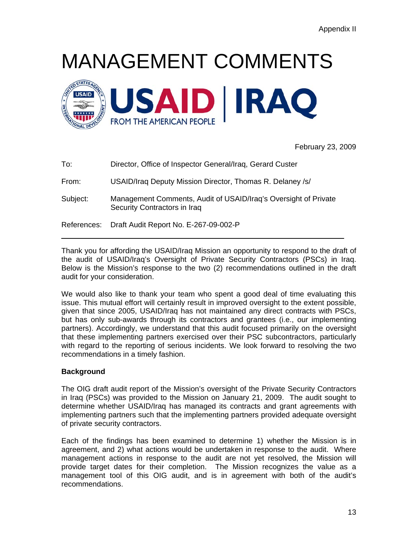# MANAGEMENT COMMENTS



February 23, 2009

To: Director, Office of Inspector General/Iraq, Gerard Custer From: USAID/Iraq Deputy Mission Director, Thomas R. Delaney /s/ Subject: Management Comments, Audit of USAID/Iraq's Oversight of Private Security Contractors in Iraq References: Draft Audit Report No. E-267-09-002-P

Thank you for affording the USAID/Iraq Mission an opportunity to respond to the draft of the audit of USAID/Iraq's Oversight of Private Security Contractors (PSCs) in Iraq. Below is the Mission's response to the two (2) recommendations outlined in the draft audit for your consideration.

We would also like to thank your team who spent a good deal of time evaluating this issue. This mutual effort will certainly result in improved oversight to the extent possible, given that since 2005, USAID/Iraq has not maintained any direct contracts with PSCs, but has only sub-awards through its contractors and grantees (i.e., our implementing partners). Accordingly, we understand that this audit focused primarily on the oversight that these implementing partners exercised over their PSC subcontractors, particularly with regard to the reporting of serious incidents. We look forward to resolving the two recommendations in a timely fashion.

## **Background**

The OIG draft audit report of the Mission's oversight of the Private Security Contractors in Iraq (PSCs) was provided to the Mission on January 21, 2009. The audit sought to determine whether USAID/Iraq has managed its contracts and grant agreements with implementing partners such that the implementing partners provided adequate oversight of private security contractors.

Each of the findings has been examined to determine 1) whether the Mission is in agreement, and 2) what actions would be undertaken in response to the audit. Where management actions in response to the audit are not yet resolved, the Mission will provide target dates for their completion. The Mission recognizes the value as a management tool of this OIG audit, and is in agreement with both of the audit's recommendations.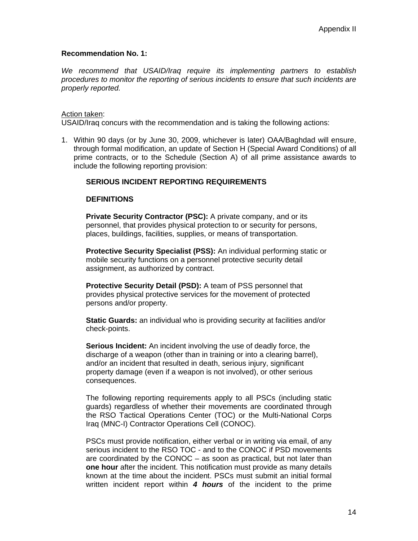### **Recommendation No. 1:**

*We recommend that USAID/Iraq require its implementing partners to establish procedures to monitor the reporting of serious incidents to ensure that such incidents are properly reported.* 

#### Action taken:

USAID/Iraq concurs with the recommendation and is taking the following actions:

1. Within 90 days (or by June 30, 2009, whichever is later) OAA/Baghdad will ensure, through formal modification, an update of Section H (Special Award Conditions) of all prime contracts, or to the Schedule (Section A) of all prime assistance awards to include the following reporting provision:

## **SERIOUS INCIDENT REPORTING REQUIREMENTS**

### **DEFINITIONS**

**Private Security Contractor (PSC):** A private company, and or its personnel, that provides physical protection to or security for persons, places, buildings, facilities, supplies, or means of transportation.

**Protective Security Specialist (PSS):** An individual performing static or mobile security functions on a personnel protective security detail assignment, as authorized by contract.

**Protective Security Detail (PSD):** A team of PSS personnel that provides physical protective services for the movement of protected persons and/or property.

**Static Guards:** an individual who is providing security at facilities and/or check-points.

**Serious Incident:** An incident involving the use of deadly force, the discharge of a weapon (other than in training or into a clearing barrel), and/or an incident that resulted in death, serious injury, significant property damage (even if a weapon is not involved), or other serious consequences.

The following reporting requirements apply to all PSCs (including static guards) regardless of whether their movements are coordinated through the RSO Tactical Operations Center (TOC) or the Multi-National Corps Iraq (MNC-I) Contractor Operations Cell (CONOC).

PSCs must provide notification, either verbal or in writing via email, of any serious incident to the RSO TOC - and to the CONOC if PSD movements are coordinated by the CONOC – as soon as practical, but not later than **one hour** after the incident. This notification must provide as many details known at the time about the incident. PSCs must submit an initial formal written incident report within *4 hours* of the incident to the prime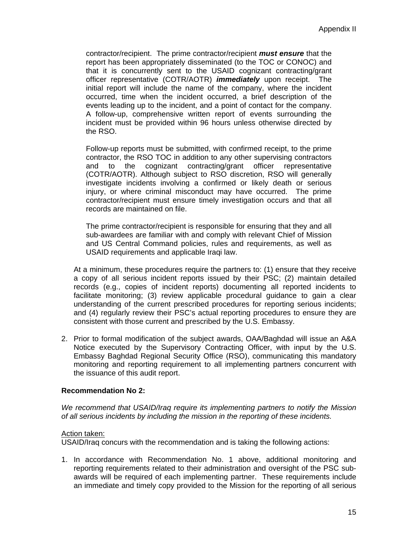contractor/recipient. The prime contractor/recipient *must ensure* that the report has been appropriately disseminated (to the TOC or CONOC) and that it is concurrently sent to the USAID cognizant contracting/grant officer representative (COTR/AOTR) *immediately* upon receipt.The initial report will include the name of the company, where the incident occurred, time when the incident occurred, a brief description of the events leading up to the incident, and a point of contact for the company. A follow-up, comprehensive written report of events surrounding the incident must be provided within 96 hours unless otherwise directed by the RSO.

Follow-up reports must be submitted, with confirmed receipt, to the prime contractor, the RSO TOC in addition to any other supervising contractors and to the cognizant contracting/grant officer representative (COTR/AOTR). Although subject to RSO discretion, RSO will generally investigate incidents involving a confirmed or likely death or serious injury, or where criminal misconduct may have occurred. The prime contractor/recipient must ensure timely investigation occurs and that all records are maintained on file.

The prime contractor/recipient is responsible for ensuring that they and all sub-awardees are familiar with and comply with relevant Chief of Mission and US Central Command policies, rules and requirements, as well as USAID requirements and applicable Iraqi law.

 At a minimum, these procedures require the partners to: (1) ensure that they receive a copy of all serious incident reports issued by their PSC; (2) maintain detailed records (e.g., copies of incident reports) documenting all reported incidents to facilitate monitoring; (3) review applicable procedural guidance to gain a clear understanding of the current prescribed procedures for reporting serious incidents; and (4) regularly review their PSC's actual reporting procedures to ensure they are consistent with those current and prescribed by the U.S. Embassy.

2. Prior to formal modification of the subject awards, OAA/Baghdad will issue an A&A Notice executed by the Supervisory Contracting Officer, with input by the U.S. Embassy Baghdad Regional Security Office (RSO), communicating this mandatory monitoring and reporting requirement to all implementing partners concurrent with the issuance of this audit report.

### **Recommendation No 2:**

*We recommend that USAID/Iraq require its implementing partners to notify the Mission of all serious incidents by including the mission in the reporting of these incidents.* 

### Action taken:

USAID/Iraq concurs with the recommendation and is taking the following actions:

1. In accordance with Recommendation No. 1 above, additional monitoring and reporting requirements related to their administration and oversight of the PSC subawards will be required of each implementing partner. These requirements include an immediate and timely copy provided to the Mission for the reporting of all serious